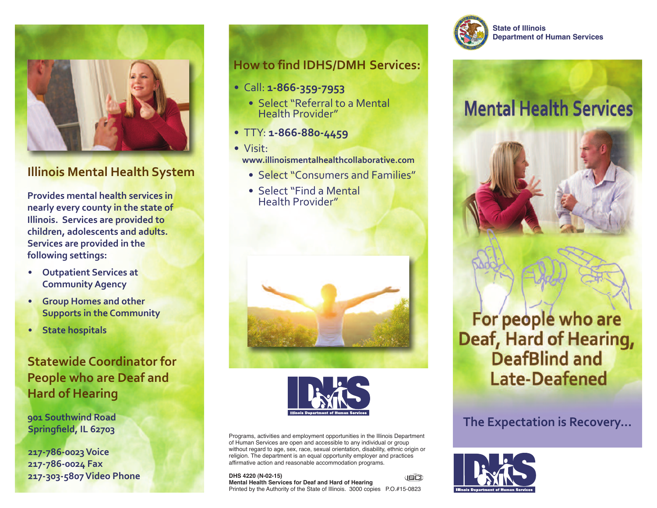

#### **Illinois Mental Health System**

**Provides mental health services in nearly every county in the state of Illinois. Services are provided to children, adolescents and adults. Services are provided in the following settings:**

- **• Outpatient Services at CommunityAgency**
- **• Group Homes and other Supports in the Community**
- **• State hospitals**

## **Statewide Coordinator for People who are Deaf and Hard of Hearing**

**901 Southwind Road Springfield, IL 62703**

**217-786-0023Voice 217-786-0024 Fax 217-303-5807Video Phone**

#### **How to find IDHS/DMH Services:**

- **•** Call: **1-866-359-7953**
	- **•** Select "Referral to a Mental Health Provider"
- **•** TTY: **1-866-880-4459**
- **•** Visit: **www.illinoismentalhealthcollaborative.com**
	- **•** Select "Consumers and Families"
	- **•** Select "Find a Mental Health Provider"





Programs, activities and employment opportunities in the Illinois Department of Human Services are open and accessible to any individual or group without regard to age, sex, race, sexual orientation, disability, ethnic origin or religion. The department is an equal opportunity employer and practices affirmative action and reasonable accommodation programs.

**DHS 4220 (N-02-15)** J©Ct **Mental Health Services for Deaf and Hard of Hearing** Printed by the Authority of the State of Illinois. 3000 copies P.O.#15-0823



**State of Illinois Department of Human Services**

# **Mental Health Services**





#### **The Expectation is Recovery...**